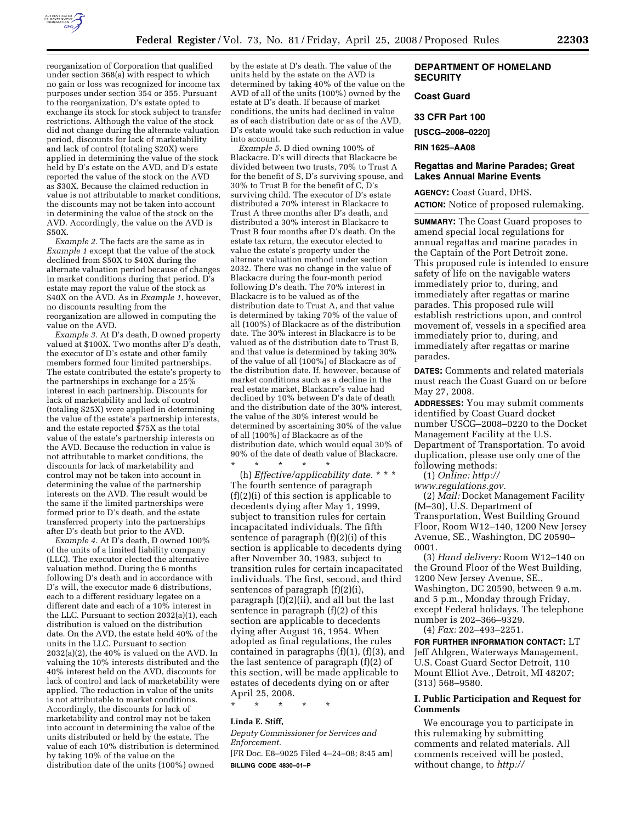

reorganization of Corporation that qualified under section 368(a) with respect to which no gain or loss was recognized for income tax purposes under section 354 or 355. Pursuant to the reorganization, D's estate opted to exchange its stock for stock subject to transfer restrictions. Although the value of the stock did not change during the alternate valuation period, discounts for lack of marketability and lack of control (totaling \$20X) were applied in determining the value of the stock held by D's estate on the AVD, and D's estate reported the value of the stock on the AVD as \$30X. Because the claimed reduction in value is not attributable to market conditions, the discounts may not be taken into account in determining the value of the stock on the AVD. Accordingly, the value on the AVD is \$50X.

*Example 2.* The facts are the same as in *Example 1* except that the value of the stock declined from \$50X to \$40X during the alternate valuation period because of changes in market conditions during that period. D's estate may report the value of the stock as \$40X on the AVD. As in *Example 1*, however, no discounts resulting from the reorganization are allowed in computing the value on the AVD.

*Example 3.* At D's death, D owned property valued at \$100X. Two months after D's death, the executor of D's estate and other family members formed four limited partnerships. The estate contributed the estate's property to the partnerships in exchange for a  $25\%$ interest in each partnership. Discounts for lack of marketability and lack of control (totaling \$25X) were applied in determining the value of the estate's partnership interests, and the estate reported \$75X as the total value of the estate's partnership interests on the AVD. Because the reduction in value is not attributable to market conditions, the discounts for lack of marketability and control may not be taken into account in determining the value of the partnership interests on the AVD. The result would be the same if the limited partnerships were formed prior to D's death, and the estate transferred property into the partnerships after D's death but prior to the AVD.

*Example 4.* At D's death, D owned 100% of the units of a limited liability company (LLC). The executor elected the alternative valuation method. During the 6 months following D's death and in accordance with D's will, the executor made 6 distributions, each to a different residuary legatee on a different date and each of a 10% interest in the LLC. Pursuant to section 2032(a)(1), each distribution is valued on the distribution date. On the AVD, the estate held 40% of the units in the LLC. Pursuant to section 2032(a)(2), the 40% is valued on the AVD. In valuing the 10% interests distributed and the 40% interest held on the AVD, discounts for lack of control and lack of marketability were applied. The reduction in value of the units is not attributable to market conditions. Accordingly, the discounts for lack of marketability and control may not be taken into account in determining the value of the units distributed or held by the estate. The value of each 10% distribution is determined by taking 10% of the value on the distribution date of the units (100%) owned

by the estate at D's death. The value of the units held by the estate on the AVD is determined by taking 40% of the value on the AVD of all of the units (100%) owned by the estate at D's death. If because of market conditions, the units had declined in value as of each distribution date or as of the AVD, D's estate would take such reduction in value into account.

*Example 5.* D died owning 100% of Blackacre. D's will directs that Blackacre be divided between two trusts, 70% to Trust A for the benefit of S, D's surviving spouse, and 30% to Trust B for the benefit of C, D's surviving child. The executor of D's estate distributed a 70% interest in Blackacre to Trust A three months after D's death, and distributed a 30% interest in Blackacre to Trust B four months after D's death. On the estate tax return, the executor elected to value the estate's property under the alternate valuation method under section 2032. There was no change in the value of Blackacre during the four-month period following D's death. The 70% interest in Blackacre is to be valued as of the distribution date to Trust A, and that value is determined by taking 70% of the value of all (100%) of Blackacre as of the distribution date. The 30% interest in Blackacre is to be valued as of the distribution date to Trust B, and that value is determined by taking 30% of the value of all (100%) of Blackacre as of the distribution date. If, however, because of market conditions such as a decline in the real estate market, Blackacre's value had declined by 10% between D's date of death and the distribution date of the 30% interest, the value of the 30% interest would be determined by ascertaining 30% of the value of all (100%) of Blackacre as of the distribution date, which would equal 30% of 90% of the date of death value of Blackacre. \* \* \* \* \*

(h) *Effective/applicability date.* \* \* \* The fourth sentence of paragraph (f)(2)(i) of this section is applicable to decedents dying after May 1, 1999, subject to transition rules for certain incapacitated individuals. The fifth sentence of paragraph (f)(2)(i) of this section is applicable to decedents dying after November 30, 1983, subject to transition rules for certain incapacitated individuals. The first, second, and third sentences of paragraph (f)(2)(i), paragraph (f)(2)(ii), and all but the last sentence in paragraph (f)(2) of this section are applicable to decedents dying after August 16, 1954. When adopted as final regulations, the rules contained in paragraphs (f)(1), (f)(3), and the last sentence of paragraph (f)(2) of this section, will be made applicable to estates of decedents dying on or after April 25, 2008.

\* \* \* \* \*

### **Linda E. Stiff,**

*Deputy Commissioner for Services and Enforcement.* 

[FR Doc. E8–9025 Filed 4–24–08; 8:45 am] **BILLING CODE 4830–01–P** 

# **DEPARTMENT OF HOMELAND SECURITY**

### **Coast Guard**

#### **33 CFR Part 100**

**[USCG–2008–0220]** 

### **RIN 1625–AA08**

### **Regattas and Marine Parades; Great Lakes Annual Marine Events**

**AGENCY:** Coast Guard, DHS. **ACTION:** Notice of proposed rulemaking.

**SUMMARY:** The Coast Guard proposes to amend special local regulations for annual regattas and marine parades in the Captain of the Port Detroit zone. This proposed rule is intended to ensure safety of life on the navigable waters immediately prior to, during, and immediately after regattas or marine parades. This proposed rule will establish restrictions upon, and control movement of, vessels in a specified area immediately prior to, during, and immediately after regattas or marine parades.

**DATES:** Comments and related materials must reach the Coast Guard on or before May 27, 2008.

**ADDRESSES:** You may submit comments identified by Coast Guard docket number USCG–2008–0220 to the Docket Management Facility at the U.S. Department of Transportation. To avoid duplication, please use only one of the following methods:

(1) *Online: http://* 

*www.regulations.gov.* 

(2) *Mail:* Docket Management Facility (M–30), U.S. Department of Transportation, West Building Ground Floor, Room W12–140, 1200 New Jersey Avenue, SE., Washington, DC 20590– 0001.

(3) *Hand delivery:* Room W12–140 on the Ground Floor of the West Building, 1200 New Jersey Avenue, SE., Washington, DC 20590, between 9 a.m. and 5 p.m., Monday through Friday, except Federal holidays. The telephone number is 202–366–9329. (4) *Fax:* 202–493–2251.

**FOR FURTHER INFORMATION CONTACT:** LT Jeff Ahlgren, Waterways Management, U.S. Coast Guard Sector Detroit, 110 Mount Elliot Ave., Detroit, MI 48207; (313) 568–9580.

### **I. Public Participation and Request for Comments**

We encourage you to participate in this rulemaking by submitting comments and related materials. All comments received will be posted, without change, to *http://*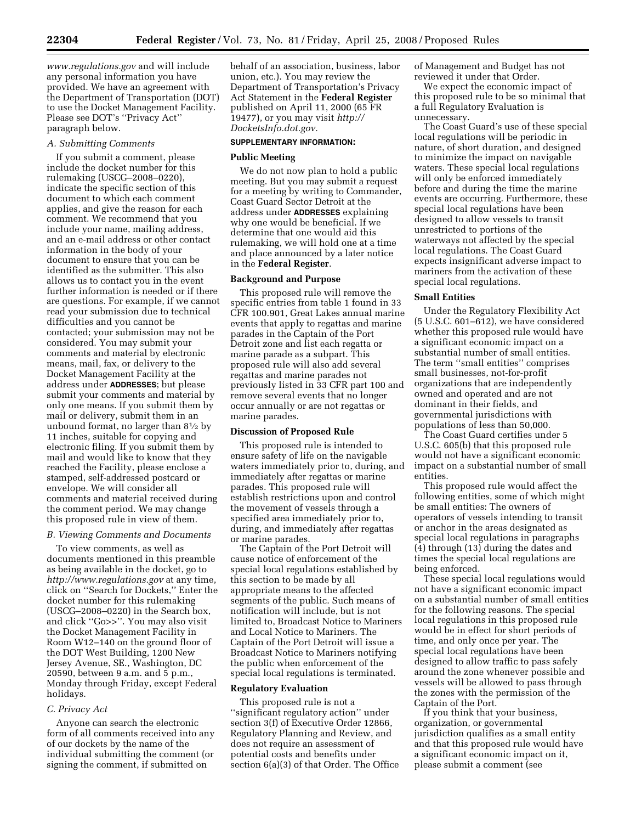*www.regulations.gov* and will include any personal information you have provided. We have an agreement with the Department of Transportation (DOT) to use the Docket Management Facility. Please see DOT's ''Privacy Act'' paragraph below.

# *A. Submitting Comments*

If you submit a comment, please include the docket number for this rulemaking (USCG–2008–0220), indicate the specific section of this document to which each comment applies, and give the reason for each comment. We recommend that you include your name, mailing address, and an e-mail address or other contact information in the body of your document to ensure that you can be identified as the submitter. This also allows us to contact you in the event further information is needed or if there are questions. For example, if we cannot read your submission due to technical difficulties and you cannot be contacted; your submission may not be considered. You may submit your comments and material by electronic means, mail, fax, or delivery to the Docket Management Facility at the address under **ADDRESSES**; but please submit your comments and material by only one means. If you submit them by mail or delivery, submit them in an unbound format, no larger than 81⁄2 by 11 inches, suitable for copying and electronic filing. If you submit them by mail and would like to know that they reached the Facility, please enclose a stamped, self-addressed postcard or envelope. We will consider all comments and material received during the comment period. We may change this proposed rule in view of them.

#### *B. Viewing Comments and Documents*

To view comments, as well as documents mentioned in this preamble as being available in the docket, go to *http://www.regulations.gov* at any time, click on ''Search for Dockets,'' Enter the docket number for this rulemaking (USCG–2008–0220) in the Search box, and click ''Go>>''. You may also visit the Docket Management Facility in Room W12–140 on the ground floor of the DOT West Building, 1200 New Jersey Avenue, SE., Washington, DC 20590, between 9 a.m. and 5 p.m., Monday through Friday, except Federal holidays.

### *C. Privacy Act*

Anyone can search the electronic form of all comments received into any of our dockets by the name of the individual submitting the comment (or signing the comment, if submitted on

behalf of an association, business, labor union, etc.). You may review the Department of Transportation's Privacy Act Statement in the **Federal Register**  published on April 11, 2000 (65 FR 19477), or you may visit *http:// DocketsInfo.dot.gov.* 

# **SUPPLEMENTARY INFORMATION:**

### **Public Meeting**

We do not now plan to hold a public meeting. But you may submit a request for a meeting by writing to Commander, Coast Guard Sector Detroit at the address under **ADDRESSES** explaining why one would be beneficial. If we determine that one would aid this rulemaking, we will hold one at a time and place announced by a later notice in the **Federal Register**.

### **Background and Purpose**

This proposed rule will remove the specific entries from table 1 found in 33 CFR 100.901, Great Lakes annual marine events that apply to regattas and marine parades in the Captain of the Port Detroit zone and list each regatta or marine parade as a subpart. This proposed rule will also add several regattas and marine parades not previously listed in 33 CFR part 100 and remove several events that no longer occur annually or are not regattas or marine parades.

# **Discussion of Proposed Rule**

This proposed rule is intended to ensure safety of life on the navigable waters immediately prior to, during, and immediately after regattas or marine parades. This proposed rule will establish restrictions upon and control the movement of vessels through a specified area immediately prior to, during, and immediately after regattas or marine parades.

The Captain of the Port Detroit will cause notice of enforcement of the special local regulations established by this section to be made by all appropriate means to the affected segments of the public. Such means of notification will include, but is not limited to, Broadcast Notice to Mariners and Local Notice to Mariners. The Captain of the Port Detroit will issue a Broadcast Notice to Mariners notifying the public when enforcement of the special local regulations is terminated.

### **Regulatory Evaluation**

This proposed rule is not a ''significant regulatory action'' under section 3(f) of Executive Order 12866, Regulatory Planning and Review, and does not require an assessment of potential costs and benefits under section 6(a)(3) of that Order. The Office of Management and Budget has not reviewed it under that Order.

We expect the economic impact of this proposed rule to be so minimal that a full Regulatory Evaluation is unnecessary.

The Coast Guard's use of these special local regulations will be periodic in nature, of short duration, and designed to minimize the impact on navigable waters. These special local regulations will only be enforced immediately before and during the time the marine events are occurring. Furthermore, these special local regulations have been designed to allow vessels to transit unrestricted to portions of the waterways not affected by the special local regulations. The Coast Guard expects insignificant adverse impact to mariners from the activation of these special local regulations.

#### **Small Entities**

Under the Regulatory Flexibility Act (5 U.S.C. 601–612), we have considered whether this proposed rule would have a significant economic impact on a substantial number of small entities. The term ''small entities'' comprises small businesses, not-for-profit organizations that are independently owned and operated and are not dominant in their fields, and governmental jurisdictions with populations of less than 50,000.

The Coast Guard certifies under 5 U.S.C. 605(b) that this proposed rule would not have a significant economic impact on a substantial number of small entities.

This proposed rule would affect the following entities, some of which might be small entities: The owners of operators of vessels intending to transit or anchor in the areas designated as special local regulations in paragraphs (4) through (13) during the dates and times the special local regulations are being enforced.

These special local regulations would not have a significant economic impact on a substantial number of small entities for the following reasons. The special local regulations in this proposed rule would be in effect for short periods of time, and only once per year. The special local regulations have been designed to allow traffic to pass safely around the zone whenever possible and vessels will be allowed to pass through the zones with the permission of the Captain of the Port.

If you think that your business, organization, or governmental jurisdiction qualifies as a small entity and that this proposed rule would have a significant economic impact on it, please submit a comment (see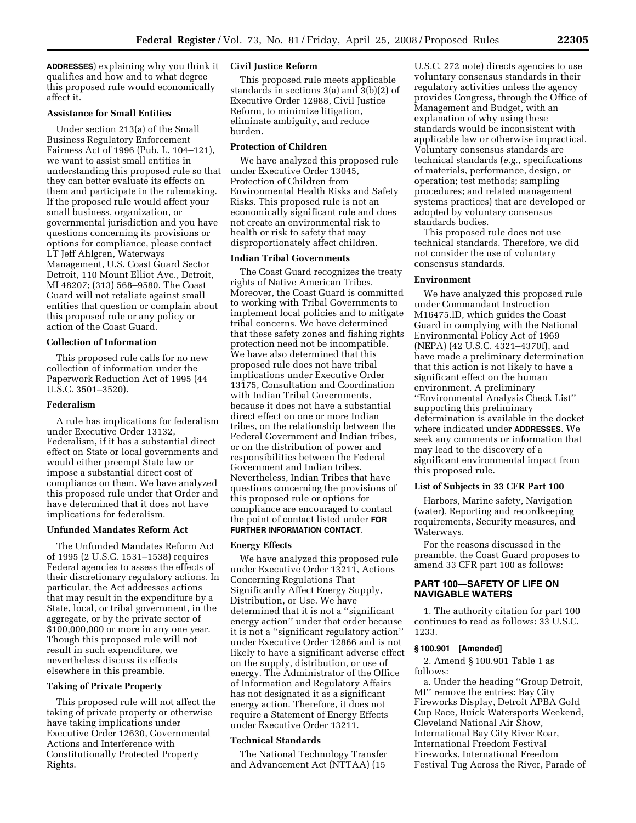**ADDRESSES**) explaining why you think it qualifies and how and to what degree this proposed rule would economically affect it.

# **Assistance for Small Entities**

Under section 213(a) of the Small Business Regulatory Enforcement Fairness Act of 1996 (Pub. L. 104–121), we want to assist small entities in understanding this proposed rule so that they can better evaluate its effects on them and participate in the rulemaking. If the proposed rule would affect your small business, organization, or governmental jurisdiction and you have questions concerning its provisions or options for compliance, please contact LT Jeff Ahlgren, Waterways Management, U.S. Coast Guard Sector Detroit, 110 Mount Elliot Ave., Detroit, MI 48207; (313) 568–9580. The Coast Guard will not retaliate against small entities that question or complain about this proposed rule or any policy or action of the Coast Guard.

# **Collection of Information**

This proposed rule calls for no new collection of information under the Paperwork Reduction Act of 1995 (44 U.S.C. 3501–3520).

# **Federalism**

A rule has implications for federalism under Executive Order 13132, Federalism, if it has a substantial direct effect on State or local governments and would either preempt State law or impose a substantial direct cost of compliance on them. We have analyzed this proposed rule under that Order and have determined that it does not have implications for federalism.

# **Unfunded Mandates Reform Act**

The Unfunded Mandates Reform Act of 1995 (2 U.S.C. 1531–1538) requires Federal agencies to assess the effects of their discretionary regulatory actions. In particular, the Act addresses actions that may result in the expenditure by a State, local, or tribal government, in the aggregate, or by the private sector of \$100,000,000 or more in any one year. Though this proposed rule will not result in such expenditure, we nevertheless discuss its effects elsewhere in this preamble.

# **Taking of Private Property**

This proposed rule will not affect the taking of private property or otherwise have taking implications under Executive Order 12630, Governmental Actions and Interference with Constitutionally Protected Property Rights.

# **Civil Justice Reform**

This proposed rule meets applicable standards in sections 3(a) and 3(b)(2) of Executive Order 12988, Civil Justice Reform, to minimize litigation, eliminate ambiguity, and reduce burden.

# **Protection of Children**

We have analyzed this proposed rule under Executive Order 13045, Protection of Children from Environmental Health Risks and Safety Risks. This proposed rule is not an economically significant rule and does not create an environmental risk to health or risk to safety that may disproportionately affect children.

# **Indian Tribal Governments**

The Coast Guard recognizes the treaty rights of Native American Tribes. Moreover, the Coast Guard is committed to working with Tribal Governments to implement local policies and to mitigate tribal concerns. We have determined that these safety zones and fishing rights protection need not be incompatible. We have also determined that this proposed rule does not have tribal implications under Executive Order 13175, Consultation and Coordination with Indian Tribal Governments, because it does not have a substantial direct effect on one or more Indian tribes, on the relationship between the Federal Government and Indian tribes, or on the distribution of power and responsibilities between the Federal Government and Indian tribes. Nevertheless, Indian Tribes that have questions concerning the provisions of this proposed rule or options for compliance are encouraged to contact the point of contact listed under **FOR FURTHER INFORMATION CONTACT**.

# **Energy Effects**

We have analyzed this proposed rule under Executive Order 13211, Actions Concerning Regulations That Significantly Affect Energy Supply, Distribution, or Use. We have determined that it is not a ''significant energy action'' under that order because it is not a ''significant regulatory action'' under Executive Order 12866 and is not likely to have a significant adverse effect on the supply, distribution, or use of energy. The Administrator of the Office of Information and Regulatory Affairs has not designated it as a significant energy action. Therefore, it does not require a Statement of Energy Effects under Executive Order 13211.

# **Technical Standards**

The National Technology Transfer and Advancement Act (NTTAA) (15

U.S.C. 272 note) directs agencies to use voluntary consensus standards in their regulatory activities unless the agency provides Congress, through the Office of Management and Budget, with an explanation of why using these standards would be inconsistent with applicable law or otherwise impractical. Voluntary consensus standards are technical standards (*e.g.*, specifications of materials, performance, design, or operation; test methods; sampling procedures; and related management systems practices) that are developed or adopted by voluntary consensus standards bodies.

This proposed rule does not use technical standards. Therefore, we did not consider the use of voluntary consensus standards.

# **Environment**

We have analyzed this proposed rule under Commandant Instruction M16475.lD, which guides the Coast Guard in complying with the National Environmental Policy Act of 1969 (NEPA) (42 U.S.C. 4321–4370f), and have made a preliminary determination that this action is not likely to have a significant effect on the human environment. A preliminary ''Environmental Analysis Check List'' supporting this preliminary determination is available in the docket where indicated under **ADDRESSES**. We seek any comments or information that may lead to the discovery of a significant environmental impact from this proposed rule.

# **List of Subjects in 33 CFR Part 100**

Harbors, Marine safety, Navigation (water), Reporting and recordkeeping requirements, Security measures, and Waterways.

For the reasons discussed in the preamble, the Coast Guard proposes to amend 33 CFR part 100 as follows:

# **PART 100—SAFETY OF LIFE ON NAVIGABLE WATERS**

1. The authority citation for part 100 continues to read as follows: 33 U.S.C. 1233.

### **§ 100.901 [Amended]**

2. Amend § 100.901 Table 1 as follows:

a. Under the heading ''Group Detroit, MI'' remove the entries: Bay City Fireworks Display, Detroit APBA Gold Cup Race, Buick Watersports Weekend, Cleveland National Air Show, International Bay City River Roar, International Freedom Festival Fireworks, International Freedom Festival Tug Across the River, Parade of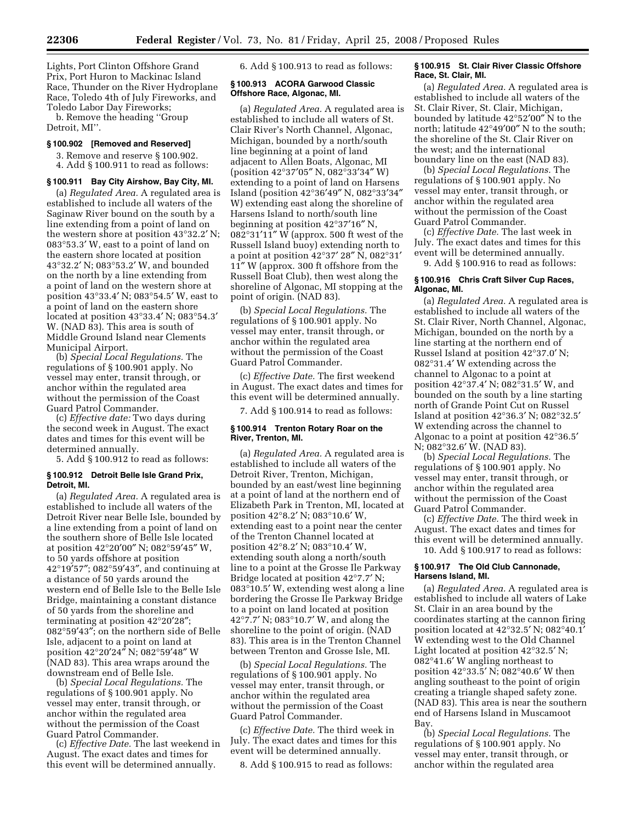Lights, Port Clinton Offshore Grand Prix, Port Huron to Mackinac Island Race, Thunder on the River Hydroplane Race, Toledo 4th of July Fireworks, and Toledo Labor Day Fireworks;

b. Remove the heading ''Group Detroit, MI''.

#### **§ 100.902 [Removed and Reserved]**

3. Remove and reserve § 100.902. 4. Add § 100.911 to read as follows:

### **§ 100.911 Bay City Airshow, Bay City, MI.**

(a) *Regulated Area.* A regulated area is established to include all waters of the Saginaw River bound on the south by a line extending from a point of land on the western shore at position 43°32.2′ N; 083°53.3′ W, east to a point of land on the eastern shore located at position 43°32.2′ N; 083°53.2′ W, and bounded on the north by a line extending from a point of land on the western shore at position 43°33.4′ N; 083°54.5′ W, east to a point of land on the eastern shore located at position 43°33.4′ N; 083°54.3′ W. (NAD 83). This area is south of Middle Ground Island near Clements Municipal Airport.

(b) *Special Local Regulations.* The regulations of § 100.901 apply. No vessel may enter, transit through, or anchor within the regulated area without the permission of the Coast Guard Patrol Commander.

(c) *Effective date:* Two days during the second week in August. The exact dates and times for this event will be determined annually.

5. Add § 100.912 to read as follows:

#### **§ 100.912 Detroit Belle Isle Grand Prix, Detroit, MI.**

(a) *Regulated Area.* A regulated area is established to include all waters of the Detroit River near Belle Isle, bounded by a line extending from a point of land on the southern shore of Belle Isle located at position 42°20′00″ N; 082°59′45″ W, to 50 yards offshore at position 42°19′57″; 082°59′43″, and continuing at a distance of 50 yards around the western end of Belle Isle to the Belle Isle Bridge, maintaining a constant distance of 50 yards from the shoreline and terminating at position 42°20′28″; 082°59′43″; on the northern side of Belle Isle, adjacent to a point on land at position 42°20′24″ N; 082°59′48″ W (NAD 83). This area wraps around the downstream end of Belle Isle.

(b) *Special Local Regulations.* The regulations of § 100.901 apply. No vessel may enter, transit through, or anchor within the regulated area without the permission of the Coast Guard Patrol Commander.

(c) *Effective Date.* The last weekend in August. The exact dates and times for this event will be determined annually.

6. Add § 100.913 to read as follows:

### **§ 100.913 ACORA Garwood Classic Offshore Race, Algonac, MI.**

(a) *Regulated Area.* A regulated area is established to include all waters of St. Clair River's North Channel, Algonac, Michigan, bounded by a north/south line beginning at a point of land adjacent to Allen Boats, Algonac, MI (position 42°37′05″ N, 082°33′34″ W) extending to a point of land on Harsens Island (position 42°36′49″ N, 082°33′34″ W) extending east along the shoreline of Harsens Island to north/south line beginning at position 42°37′16″ N, 082°31′11″ W (approx. 500 ft west of the Russell Island buoy) extending north to a point at position 42°37′ 28″ N, 082°31′ 11″ W (approx. 300 ft offshore from the Russell Boat Club), then west along the shoreline of Algonac, MI stopping at the point of origin. (NAD 83).

(b) *Special Local Regulations.* The regulations of § 100.901 apply. No vessel may enter, transit through, or anchor within the regulated area without the permission of the Coast Guard Patrol Commander.

(c) *Effective Date.* The first weekend in August. The exact dates and times for this event will be determined annually.

7. Add § 100.914 to read as follows:

# **§ 100.914 Trenton Rotary Roar on the River, Trenton, MI.**

(a) *Regulated Area.* A regulated area is established to include all waters of the Detroit River, Trenton, Michigan, bounded by an east/west line beginning at a point of land at the northern end of Elizabeth Park in Trenton, MI, located at position 42°8.2′ N; 083°10.6′ W, extending east to a point near the center of the Trenton Channel located at position 42°8.2′ N; 083°10.4′ W, extending south along a north/south line to a point at the Grosse Ile Parkway Bridge located at position 42°7.7′ N; 083°10.5′ W, extending west along a line bordering the Grosse Ile Parkway Bridge to a point on land located at position 42°7.7′ N; 083°10.7′ W, and along the shoreline to the point of origin. (NAD 83). This area is in the Trenton Channel between Trenton and Grosse Isle, MI.

(b) *Special Local Regulations.* The regulations of § 100.901 apply. No vessel may enter, transit through, or anchor within the regulated area without the permission of the Coast Guard Patrol Commander.

(c) *Effective Date.* The third week in July. The exact dates and times for this event will be determined annually.

8. Add § 100.915 to read as follows:

### **§ 100.915 St. Clair River Classic Offshore Race, St. Clair, MI.**

(a) *Regulated Area.* A regulated area is established to include all waters of the St. Clair River, St. Clair, Michigan, bounded by latitude 42°52′00″ N to the north; latitude 42°49′00″ N to the south; the shoreline of the St. Clair River on the west; and the international boundary line on the east (NAD 83).

(b) *Special Local Regulations.* The regulations of § 100.901 apply. No vessel may enter, transit through, or anchor within the regulated area without the permission of the Coast Guard Patrol Commander.

(c) *Effective Date.* The last week in July. The exact dates and times for this event will be determined annually.

9. Add § 100.916 to read as follows:

### **§ 100.916 Chris Craft Silver Cup Races, Algonac, MI.**

(a) *Regulated Area.* A regulated area is established to include all waters of the St. Clair River, North Channel, Algonac, Michigan, bounded on the north by a line starting at the northern end of Russel Island at position 42°37.0′ N; 082°31.4′ W extending across the channel to Algonac to a point at position 42°37.4′ N; 082°31.5′ W, and bounded on the south by a line starting north of Grande Point Cut on Russel Island at position 42°36.3′ N; 082°32.5′ W extending across the channel to Algonac to a point at position 42°36.5′ N; 082°32.6′ W. (NAD 83).

(b) *Special Local Regulations.* The regulations of § 100.901 apply. No vessel may enter, transit through, or anchor within the regulated area without the permission of the Coast Guard Patrol Commander.

(c) *Effective Date.* The third week in August. The exact dates and times for this event will be determined annually. 10. Add § 100.917 to read as follows:

### **§ 100.917 The Old Club Cannonade, Harsens Island, MI.**

(a) *Regulated Area.* A regulated area is established to include all waters of Lake St. Clair in an area bound by the coordinates starting at the cannon firing position located at 42°32.5′ N; 082°40.1′ W extending west to the Old Channel Light located at position 42°32.5′ N; 082°41.6′ W angling northeast to position 42°33.5′ N; 082°40.6′ W then angling southeast to the point of origin creating a triangle shaped safety zone. (NAD 83). This area is near the southern end of Harsens Island in Muscamoot Bay.

(b) *Special Local Regulations.* The regulations of § 100.901 apply. No vessel may enter, transit through, or anchor within the regulated area